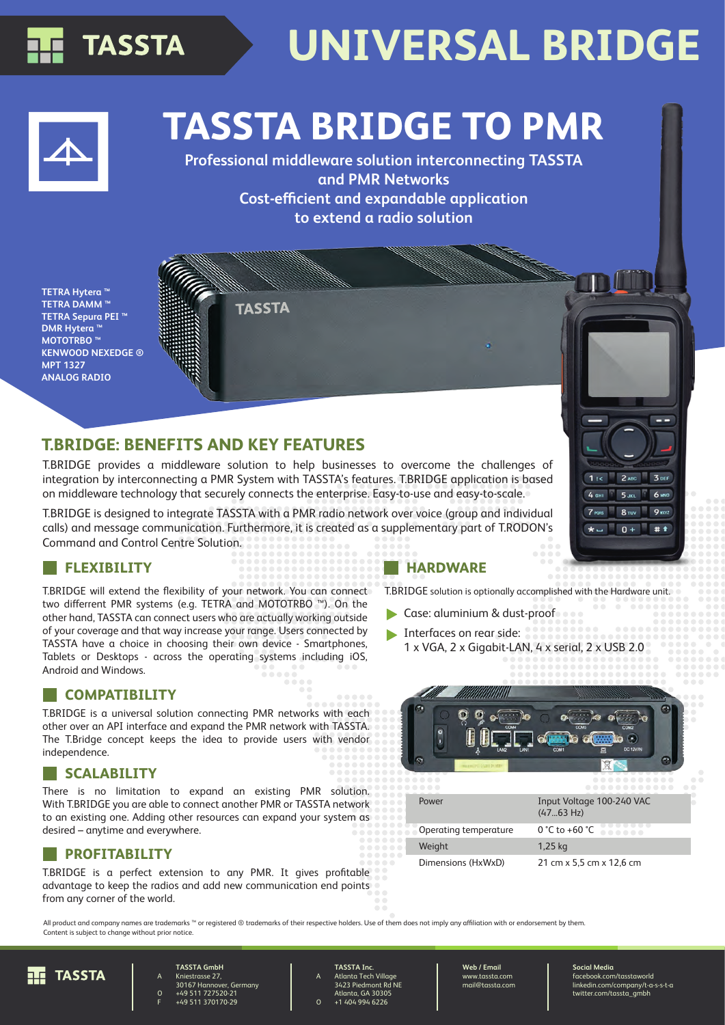

# **UNIVERSAL BRIDGE**

## **TASSTA BRIDGE TO PMR**

**Professional middleware solution interconnecting TASSTA and PMR Networks Cost-efficient and expandable application to extend a radio solution**

**TETRA Hytera ™ TETRA DAMM ™ TETRA Sepura PEI ™ DMR Hytera ™ MOTOTRBO ™ KENWOOD NEXEDGE ® MPT 1327 ANALOG RADIO**

## **T.BRIDGE: BENEFITS AND KEY FEATURES**

T.BRIDGE provides a middleware solution to help businesses to overcome the challenges of integration by interconnecting a PMR System with TASSTA's features. T.BRIDGE application is based on middleware technology that securely connects the enterprise. Easy-to-use and easy-to-scale.

**TASSTA** 

T.BRIDGE is designed to integrate TASSTA with a PMR radio network over voice (group and individual calls) and message communication. Furthermore, it is created as a supplementary part of T.RODON's Command and Control Centre Solution.

T.BRIDGE will extend the flexibility of your network. You can connect two differrent PMR systems (e.g. TETRA and MOTOTRBO ™). On the other hand, TASSTA can connect users who are actually working outside of your coverage and that way increase your range. Users connected by TASSTA have a choice in choosing their own device - Smartphones, Tablets or Desktops - across the operating systems including iOS, Android and Windows.

### **COMPATIBILITY**

T.BRIDGE is a universal solution connecting PMR networks with each other over an API interface and expand the PMR network with TASSTA. The T.Bridge concept keeps the idea to provide users with vendor independence.

### **SCALABILITY**

There is no limitation to expand an existing PMR solution. With T.BRIDGE you are able to connect another PMR or TASSTA network to an existing one. Adding other resources can expand your system as desired – anytime and everywhere.

### **PROFITABILITY**

T.BRIDGE is a perfect extension to any PMR. It gives profitable advantage to keep the radios and add new communication end points from any corner of the world.

### **FLEXIBILITY HARDWARE**

T.BRIDGE solution is optional

- $\blacktriangleright$  Case: aluminium & d
- Interfaces on rear side  $1 x VGA$ ,  $2 x Giqabit$



| Input Voltage 100-240 VAC<br>$(4763 \text{ Hz})$ |
|--------------------------------------------------|
| $0 °C$ to +60 $°C$                               |
| 1,25 kg                                          |
| 21 cm x 5,5 cm x 12,6 cm                         |
|                                                  |

All product and company names are trademarks <sup>™</sup> or registered ® trademarks of their respective holders. Use of them does not imply any affiliation with or endorsement by them. Content is subject to change without prior notice.

A

O



#### A O **TASSTA GmbH** Kniestrasse 27, 30167 Hannover, Germany +49 511 727520-21 +49 511 370170-29

F

**TASSTA Inc.** Atlanta Tech Village 3423 Piedmont Rd NE Atlanta, GA 30305 +1 404 994 6226

**Web / Email** www.tassta.com mail@tassta.com

**Social Media** facebook.com/tasstaworld linkedin.com/company/t-a-s-s-t-a twitter.com/tassta\_gmbh

|            | lly accomplished with the Hardware unit. |  |
|------------|------------------------------------------|--|
| dust-proof |                                          |  |
| de:        |                                          |  |
|            | -LAN, 4 x serial, 2 x USB 2.0            |  |
|            |                                          |  |
|            |                                          |  |
|            |                                          |  |
|            | COM                                      |  |

| 3 DEF<br>2 ABC<br>11<<br>4 сн<br><b>6 MND</b><br>$5$ JKL<br>Π<br>7 <sub>pos</sub><br>9 <sub>mx2</sub><br>$8 - w$<br>$\overline{\mathbf{0}}$ |                                  |  |     |
|---------------------------------------------------------------------------------------------------------------------------------------------|----------------------------------|--|-----|
|                                                                                                                                             |                                  |  |     |
|                                                                                                                                             |                                  |  |     |
|                                                                                                                                             |                                  |  |     |
|                                                                                                                                             |                                  |  |     |
|                                                                                                                                             |                                  |  |     |
|                                                                                                                                             | $\star$ $\overline{\phantom{0}}$ |  | # + |